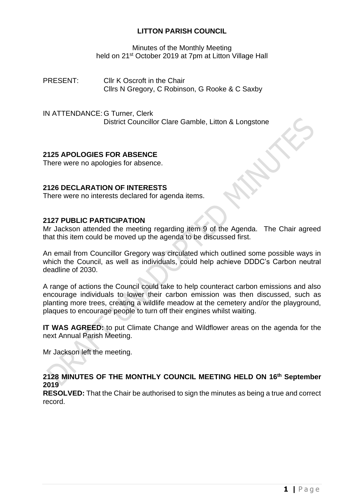## **LITTON PARISH COUNCIL**

Minutes of the Monthly Meeting held on 21<sup>st</sup> October 2019 at 7pm at Litton Village Hall

PRESENT: Cllr K Oscroft in the Chair Cllrs N Gregory, C Robinson, G Rooke & C Saxby

IN ATTENDANCE: G Turner, Clerk District Councillor Clare Gamble, Litton & Longstone

# **2125 APOLOGIES FOR ABSENCE**

There were no apologies for absence.

### **2126 DECLARATION OF INTERESTS**

There were no interests declared for agenda items.

### **2127 PUBLIC PARTICIPATION**

Mr Jackson attended the meeting regarding item 9 of the Agenda. The Chair agreed that this item could be moved up the agenda to be discussed first.

An email from Councillor Gregory was circulated which outlined some possible ways in which the Council, as well as individuals, could help achieve DDDC's Carbon neutral deadline of 2030.

A range of actions the Council could take to help counteract carbon emissions and also encourage individuals to lower their carbon emission was then discussed, such as planting more trees, creating a wildlife meadow at the cemetery and/or the playground, plaques to encourage people to turn off their engines whilst waiting.

**IT WAS AGREED:** to put Climate Change and Wildflower areas on the agenda for the next Annual Parish Meeting.

Mr Jackson left the meeting.

**2128 MINUTES OF THE MONTHLY COUNCIL MEETING HELD ON 16 th September 2019**

**RESOLVED:** That the Chair be authorised to sign the minutes as being a true and correct record.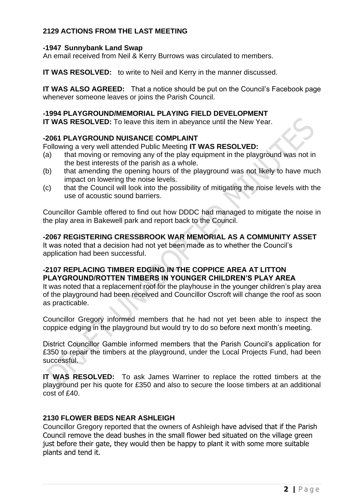# **2129 ACTIONS FROM THE LAST MEETING**

#### **-1947 Sunnybank Land Swap**

An email received from Neil & Kerry Burrows was circulated to members.

**IT WAS RESOLVED:** to write to Neil and Kerry in the manner discussed.

**IT WAS ALSO AGREED:** That a notice should be put on the Council's Facebook page whenever someone leaves or joins the Parish Council.

#### **-1994 PLAYGROUND/MEMORIAL PLAYING FIELD DEVELOPMENT**

**IT WAS RESOLVED:** To leave this item in abeyance until the New Year.

### **-2061 PLAYGROUND NUISANCE COMPLAINT**

Following a very well attended Public Meeting **IT WAS RESOLVED:**

- (a) that moving or removing any of the play equipment in the playground was not in the best interests of the parish as a whole.
- (b) that amending the opening hours of the playground was not likely to have much impact on lowering the noise levels.
- (c) that the Council will look into the possibility of mitigating the noise levels with the use of acoustic sound barriers.

Councillor Gamble offered to find out how DDDC had managed to mitigate the noise in the play area in Bakewell park and report back to the Council.

**-2067 REGISTERING CRESSBROOK WAR MEMORIAL AS A COMMUNITY ASSET**

It was noted that a decision had not yet been made as to whether the Council's application had been successful.

### **-2107 REPLACING TIMBER EDGING IN THE COPPICE AREA AT LITTON PLAYGROUND/ROTTEN TIMBERS IN YOUNGER CHILDREN'S PLAY AREA**

It was noted that a replacement roof for the playhouse in the younger children's play area of the playground had been received and Councillor Oscroft will change the roof as soon as practicable.

Councillor Gregory informed members that he had not yet been able to inspect the coppice edging in the playground but would try to do so before next month's meeting.

District Councillor Gamble informed members that the Parish Council's application for £350 to repair the timbers at the playground, under the Local Projects Fund, had been successful.

**IT WAS RESOLVED:** To ask James Warriner to replace the rotted timbers at the playground per his quote for £350 and also to secure the loose timbers at an additional cost of £40.

### **2130 FLOWER BEDS NEAR ASHLEIGH**

Councillor Gregory reported that the owners of Ashleigh have advised that if the Parish Council remove the dead bushes in the small flower bed situated on the village green just before their gate, they would then be happy to plant it with some more suitable plants and tend it.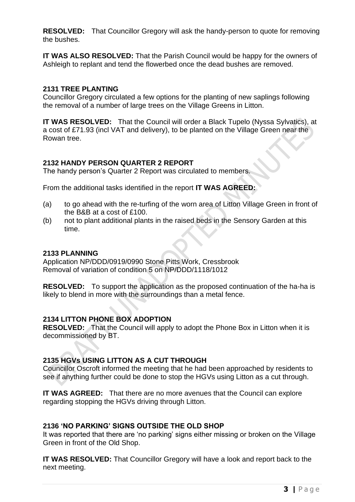**RESOLVED:** That Councillor Gregory will ask the handy-person to quote for removing the bushes.

**IT WAS ALSO RESOLVED:** That the Parish Council would be happy for the owners of Ashleigh to replant and tend the flowerbed once the dead bushes are removed.

## **2131 TREE PLANTING**

Councillor Gregory circulated a few options for the planting of new saplings following the removal of a number of large trees on the Village Greens in Litton.

**IT WAS RESOLVED:** That the Council will order a Black Tupelo (Nyssa Sylvatics), at a cost of £71.93 (incl VAT and delivery), to be planted on the Village Green near the Rowan tree.

## **2132 HANDY PERSON QUARTER 2 REPORT**

The handy person's Quarter 2 Report was circulated to members.

From the additional tasks identified in the report **IT WAS AGREED:**

- (a) to go ahead with the re-turfing of the worn area of Litton Village Green in front of the B&B at a cost of £100.
- (b) not to plant additional plants in the raised beds in the Sensory Garden at this time.

### **2133 PLANNING**

Application NP/DDD/0919/0990 Stone Pitts Work, Cressbrook Removal of variation of condition 5 on NP/DDD/1118/1012

**RESOLVED:** To support the application as the proposed continuation of the ha-ha is likely to blend in more with the surroundings than a metal fence.

### **2134 LITTON PHONE BOX ADOPTION**

**RESOLVED:** That the Council will apply to adopt the Phone Box in Litton when it is decommissioned by BT.

### **2135 HGVs USING LITTON AS A CUT THROUGH**

Councillor Oscroft informed the meeting that he had been approached by residents to see if anything further could be done to stop the HGVs using Litton as a cut through.

**IT WAS AGREED:** That there are no more avenues that the Council can explore regarding stopping the HGVs driving through Litton.

### **2136 'NO PARKING' SIGNS OUTSIDE THE OLD SHOP**

It was reported that there are 'no parking' signs either missing or broken on the Village Green in front of the Old Shop.

**IT WAS RESOLVED:** That Councillor Gregory will have a look and report back to the next meeting.